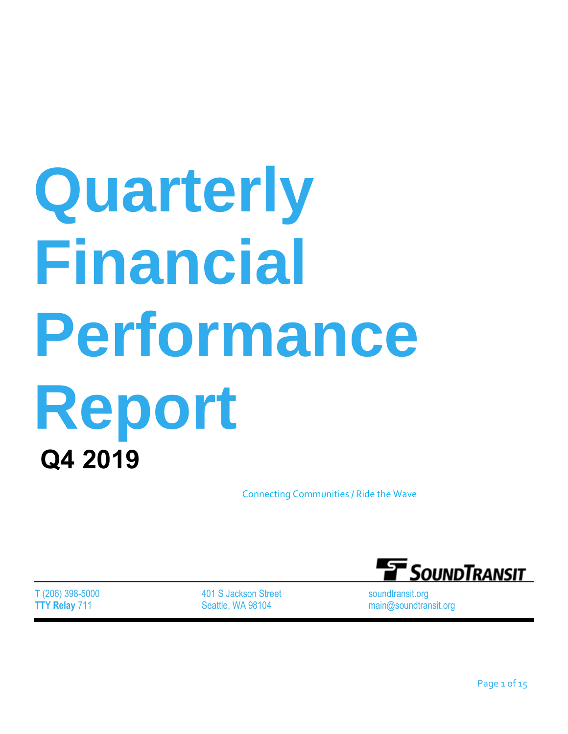# **Quarterly Financial Performance Report Q4 2019**

Connecting Communities / Ride the Wave

**T** (206) 398-5000 **TTY Relay** 711

401 S Jackson Street Seattle, WA 98104



soundtransit.org main@soundtransit.org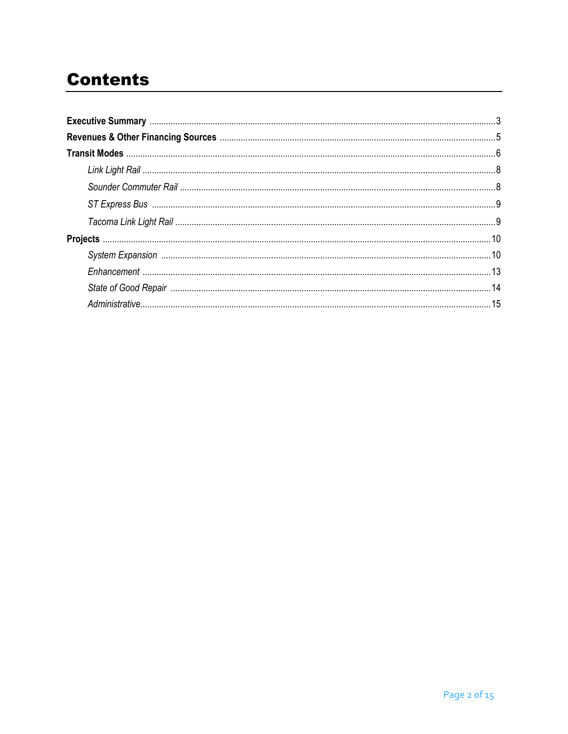# **Contents**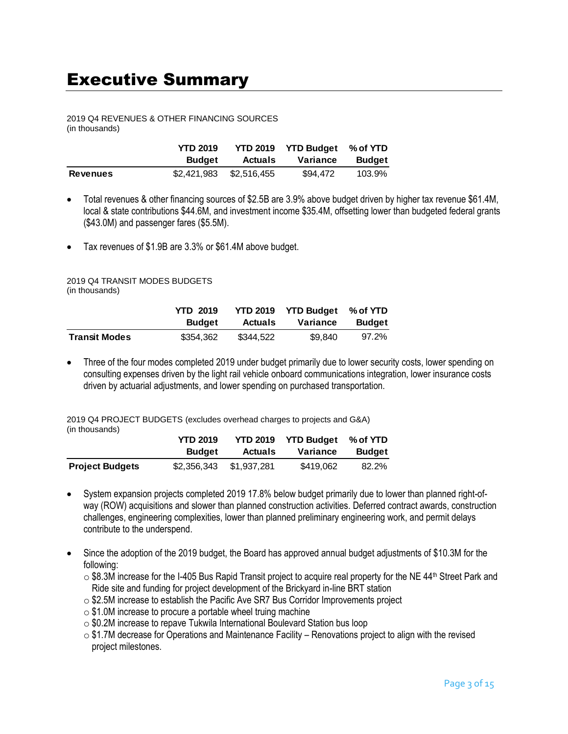## Executive Summary

## 2019 Q4 REVENUES & OTHER FINANCING SOURCES

(in thousands)

|                 | <b>YTD 2019</b> |                         | YTD 2019 YTD Budget % of YTD |               |
|-----------------|-----------------|-------------------------|------------------------------|---------------|
|                 | <b>Budget</b>   | <b>Actuals</b>          | Variance                     | <b>Budget</b> |
| <b>Revenues</b> |                 | \$2,421,983 \$2,516,455 | \$94,472                     | 103.9%        |

- Total revenues & other financing sources of \$2.5B are 3.9% above budget driven by higher tax revenue \$61.4M, local & state contributions \$44.6M, and investment income \$35.4M, offsetting lower than budgeted federal grants (\$43.0M) and passenger fares (\$5.5M).
- Tax revenues of \$1.9B are 3.3% or \$61.4M above budget.

#### 2019 Q4 TRANSIT MODES BUDGETS (in thousands)

|                      | <b>YTD 2019</b> |           | YTD 2019 YTD Budget % of YTD |               |
|----------------------|-----------------|-----------|------------------------------|---------------|
|                      | <b>Budget</b>   | Actuals   | Variance                     | <b>Budget</b> |
| <b>Transit Modes</b> | \$354,362       | \$344,522 | \$9.840                      | 97.2%         |

• Three of the four modes completed 2019 under budget primarily due to lower security costs, lower spending on consulting expenses driven by the light rail vehicle onboard communications integration, lower insurance costs driven by actuarial adjustments, and lower spending on purchased transportation.

2019 Q4 PROJECT BUDGETS (excludes overhead charges to projects and G&A) (in thousands)

|                        | <b>YTD 2019</b> | <b>YTD 2019</b> | <b>YTD Budget</b> | % of YTD      |
|------------------------|-----------------|-----------------|-------------------|---------------|
|                        | <b>Budget</b>   | <b>Actuals</b>  | Variance          | <b>Budget</b> |
| <b>Project Budgets</b> | \$2,356,343     | \$1,937,281     | \$419,062         | 82.2%         |

- System expansion projects completed 2019 17.8% below budget primarily due to lower than planned right-ofway (ROW) acquisitions and slower than planned construction activities. Deferred contract awards, construction challenges, engineering complexities, lower than planned preliminary engineering work, and permit delays contribute to the underspend.
- Since the adoption of the 2019 budget, the Board has approved annual budget adjustments of \$10.3M for the following:
	- $\circ$  \$8.3M increase for the I-405 Bus Rapid Transit project to acquire real property for the NE 44<sup>th</sup> Street Park and Ride site and funding for project development of the Brickyard in-line BRT station
	- o \$2.5M increase to establish the Pacific Ave SR7 Bus Corridor Improvements project
	- $\circ$  \$1.0M increase to procure a portable wheel truing machine
	- o \$0.2M increase to repave Tukwila International Boulevard Station bus loop
	- $\circ$  \$1.7M decrease for Operations and Maintenance Facility Renovations project to align with the revised project milestones.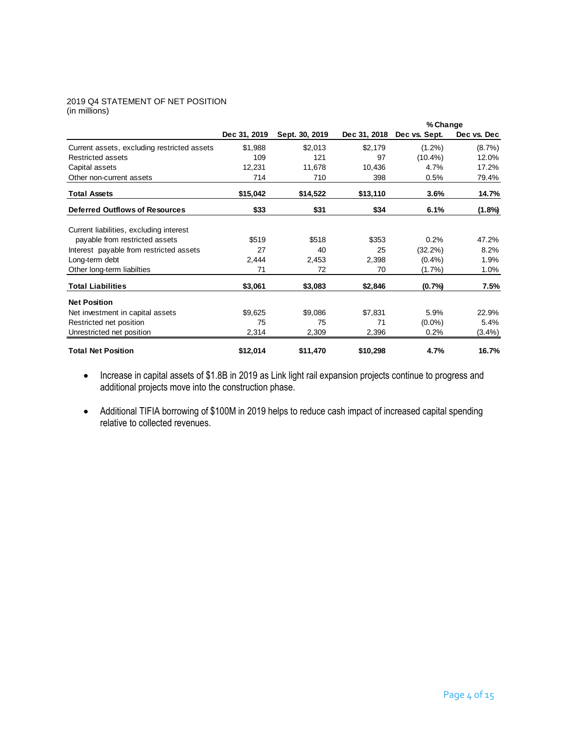#### 2019 Q4 STATEMENT OF NET POSITION (in millions)

|                                             |              |                |              | % Change      |             |
|---------------------------------------------|--------------|----------------|--------------|---------------|-------------|
|                                             | Dec 31, 2019 | Sept. 30, 2019 | Dec 31, 2018 | Dec vs. Sept. | Dec vs. Dec |
| Current assets, excluding restricted assets | \$1,988      | \$2,013        | \$2,179      | $(1.2\%)$     | $(8.7\%)$   |
| <b>Restricted assets</b>                    | 109          | 121            | 97           | $(10.4\%)$    | 12.0%       |
| Capital assets                              | 12,231       | 11,678         | 10,436       | 4.7%          | 17.2%       |
| Other non-current assets                    | 714          | 710            | 398          | 0.5%          | 79.4%       |
| <b>Total Assets</b>                         | \$15,042     | \$14,522       | \$13,110     | 3.6%          | 14.7%       |
| <b>Deferred Outflows of Resources</b>       | \$33         | \$31           | \$34         | 6.1%          | $(1.8\%)$   |
| Current liabilities, excluding interest     |              |                |              |               |             |
| payable from restricted assets              | \$519        | \$518          | \$353        | 0.2%          | 47.2%       |
| Interest payable from restricted assets     | 27           | 40             | 25           | $(32.2\%)$    | 8.2%        |
| Long-term debt                              | 2,444        | 2,453          | 2,398        | $(0.4\%)$     | 1.9%        |
| Other long-term liabilties                  | 71           | 72             | 70           | $(1.7\%)$     | 1.0%        |
| <b>Total Liabilities</b>                    | \$3,061      | \$3,083        | \$2,846      | (0.7%         | 7.5%        |
| <b>Net Position</b>                         |              |                |              |               |             |
| Net investment in capital assets            | \$9,625      | \$9,086        | \$7,831      | 5.9%          | 22.9%       |
| Restricted net position                     | 75           | 75             | 71           | $(0.0\%)$     | 5.4%        |
| Unrestricted net position                   | 2,314        | 2,309          | 2,396        | 0.2%          | $(3.4\%)$   |
| <b>Total Net Position</b>                   | \$12,014     | \$11,470       | \$10,298     | 4.7%          | 16.7%       |

- Increase in capital assets of \$1.8B in 2019 as Link light rail expansion projects continue to progress and additional projects move into the construction phase.
- Additional TIFIA borrowing of \$100M in 2019 helps to reduce cash impact of increased capital spending relative to collected revenues.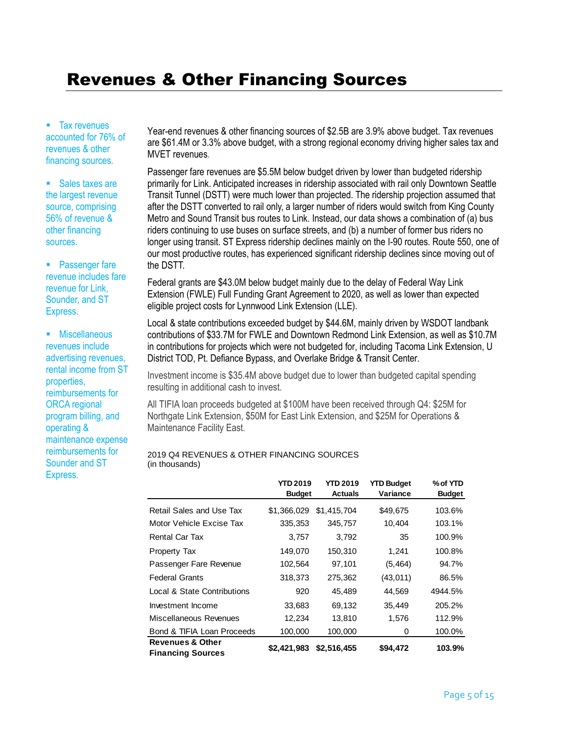## Revenues & Other Financing Sources

• Tax revenues accounted for 76% of revenues & other financing sources.

• Sales taxes are the largest revenue source, comprising 56% of revenue & other financing sources.

**Passenger fare** revenue includes fare revenue for Link, Sounder, and ST Express.

**Miscellaneous** revenues include advertising revenues, rental income from ST properties, reimbursements for ORCA regional program billing, and operating & maintenance expense reimbursements for Sounder and ST Express.

Year-end revenues & other financing sources of \$2.5B are 3.9% above budget. Tax revenues are \$61.4M or 3.3% above budget, with a strong regional economy driving higher sales tax and MVET revenues.

Passenger fare revenues are \$5.5M below budget driven by lower than budgeted ridership primarily for Link. Anticipated increases in ridership associated with rail only Downtown Seattle Transit Tunnel (DSTT) were much lower than projected. The ridership projection assumed that after the DSTT converted to rail only, a larger number of riders would switch from King County Metro and Sound Transit bus routes to Link. Instead, our data shows a combination of (a) bus riders continuing to use buses on surface streets, and (b) a number of former bus riders no longer using transit. ST Express ridership declines mainly on the I-90 routes. Route 550, one of our most productive routes, has experienced significant ridership declines since moving out of the DSTT.

Federal grants are \$43.0M below budget mainly due to the delay of Federal Way Link Extension (FWLE) Full Funding Grant Agreement to 2020, as well as lower than expected eligible project costs for Lynnwood Link Extension (LLE).

Local & state contributions exceeded budget by \$44.6M, mainly driven by WSDOT landbank contributions of \$33.7M for FWLE and Downtown Redmond Link Extension, as well as \$10.7M in contributions for projects which were not budgeted for, including Tacoma Link Extension, U District TOD, Pt. Defiance Bypass, and Overlake Bridge & Transit Center.

Investment income is \$35.4M above budget due to lower than budgeted capital spending resulting in additional cash to invest.

All TIFIA loan proceeds budgeted at \$100M have been received through Q4: \$25M for Northgate Link Extension, \$50M for East Link Extension, and \$25M for Operations & Maintenance Facility East.

#### 2019 Q4 REVENUES & OTHER FINANCING SOURCES (in thousands)

|                             | <b>YTD 2019</b><br><b>Budget</b> | <b>YTD 2019</b><br><b>Actuals</b> | <b>YTD Budget</b><br>Variance | % of YTD<br><b>Budget</b> |
|-----------------------------|----------------------------------|-----------------------------------|-------------------------------|---------------------------|
| Retail Sales and Use Tax    | \$1,366,029                      | \$1,415,704                       | \$49,675                      | 103.6%                    |
| Motor Vehicle Excise Tax    | 335,353                          | 345,757                           | 10,404                        | 103.1%                    |
| <b>Rental Car Tax</b>       | 3,757                            | 3,792                             | 35                            | 100.9%                    |
| Property Tax                | 149,070                          | 150,310                           | 1,241                         | 100.8%                    |
| Passenger Fare Revenue      | 102,564                          | 97,101                            | (5, 464)                      | 94.7%                     |
| <b>Federal Grants</b>       | 318,373                          | 275,362                           | (43,011)                      | 86.5%                     |
| Local & State Contributions | 920                              | 45,489                            | 44,569                        | 4944.5%                   |
| Investment Income           | 33,683                           | 69,132                            | 35,449                        | 205.2%                    |
| Miscellaneous Revenues      | 12,234                           | 13,810                            | 1,576                         | 112.9%                    |
| Bond & TIFIA Loan Proceeds  | 100,000                          | 100,000                           | 0                             | 100.0%                    |
| <b>Revenues &amp; Other</b> | \$2,421,983                      | \$2,516,455                       | \$94,472                      | 103.9%                    |
| <b>Financing Sources</b>    |                                  |                                   |                               |                           |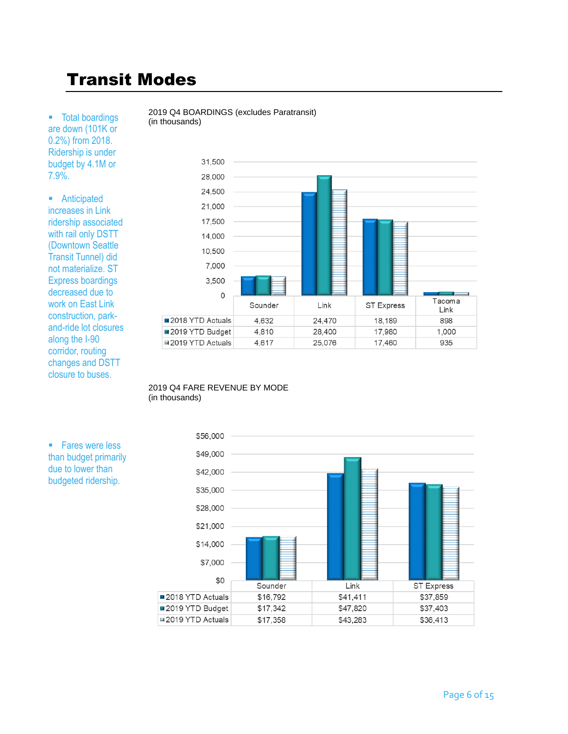# Transit Modes

**Total boardings** are down (101K or 0.2%) from 2018. Ridership is under budget by 4.1M or 7.9%.

**Anticipated** increases in Link ridership associated with rail only DSTT (Downtown Seattle Transit Tunnel) did not materialize. ST Express boardings decreased due to work on East Link construction, parkand-ride lot closures along the I-90 corridor, routing changes and DSTT closure to buses.





#### 2019 Q4 FARE REVENUE BY MODE (in thousands)



**Fares were less** than budget primarily due to lower than budgeted ridership.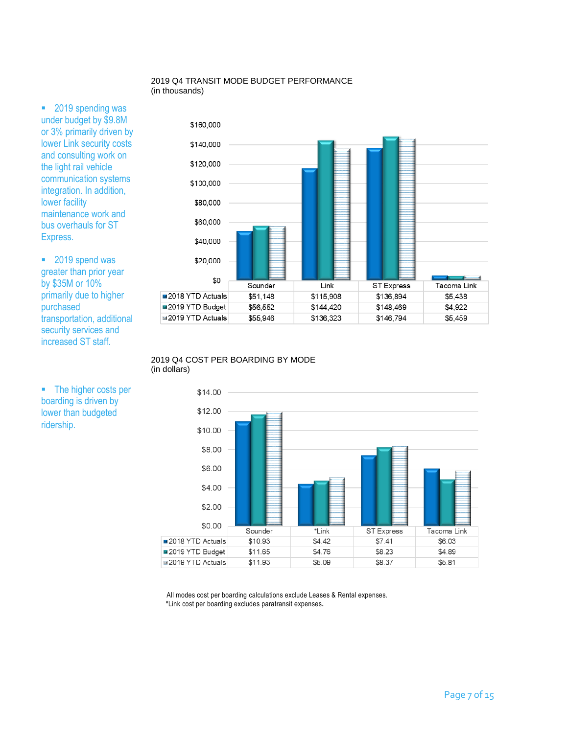#### 2019 Q4 TRANSIT MODE BUDGET PERFORMANCE (in thousands)

■ 2019 spending was under budget by \$9.8M or 3% primarily driven by lower Link security costs and consulting work on the light rail vehicle communication systems integration. In addition, lower facility maintenance work and bus overhauls for ST Express.

■ 2019 spend was greater than prior year by \$35M or 10% primarily due to higher purchased transportation, additional security services and increased ST staff.

• The higher costs per boarding is driven by lower than budgeted ridership.



#### 2019 Q4 COST PER BOARDING BY MODE (in dollars)



 All modes cost per boarding calculations exclude Leases & Rental expenses.  **\***Link cost per boarding excludes paratransit expenses**.**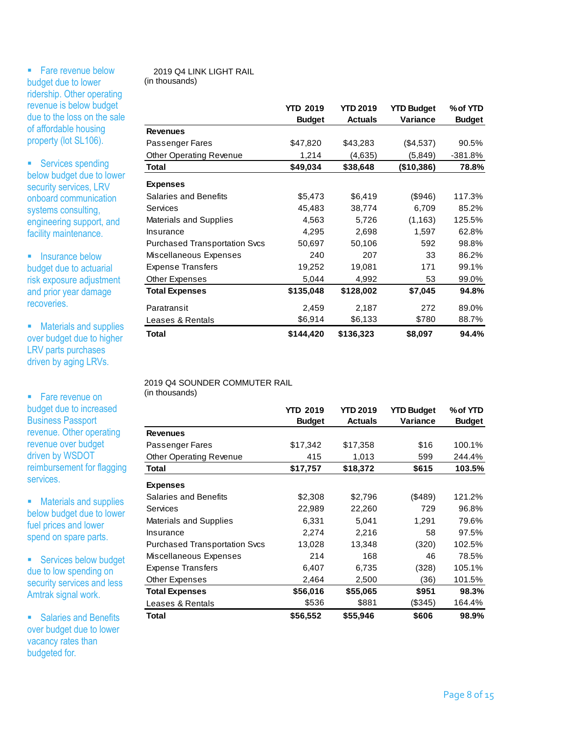**Salaries and Benefits** over budget due to lower vacancy rates than budgeted for.

## 2019 Q4 LINK LIGHT RAIL

| • Fare revenue below                                                             | 2019 Q4 LINK LIGHT RAIL                           |                   |                     |                      |                    |
|----------------------------------------------------------------------------------|---------------------------------------------------|-------------------|---------------------|----------------------|--------------------|
| budget due to lower                                                              | (in thousands)                                    |                   |                     |                      |                    |
| ridership. Other operating<br>revenue is below budget                            |                                                   |                   |                     |                      |                    |
| due to the loss on the sale                                                      |                                                   | <b>YTD 2019</b>   | <b>YTD 2019</b>     | <b>YTD Budget</b>    | % of YTD           |
| of affordable housing                                                            | <b>Revenues</b>                                   | <b>Budget</b>     | <b>Actuals</b>      | Variance             | <b>Budget</b>      |
| property (lot SL106).                                                            |                                                   |                   |                     |                      |                    |
|                                                                                  | Passenger Fares<br><b>Other Operating Revenue</b> | \$47,820<br>1,214 | \$43,283<br>(4,635) | (\$4,537)<br>(5,849) | 90.5%<br>$-381.8%$ |
| • Services spending                                                              | Total                                             | \$49,034          | \$38,648            | (\$10,386)           | 78.8%              |
| below budget due to lower                                                        |                                                   |                   |                     |                      |                    |
| security services, LRV                                                           | <b>Expenses</b><br><b>Salaries and Benefits</b>   | \$5,473           | \$6,419             | (\$946)              | 117.3%             |
| onboard communication                                                            | Services                                          | 45,483            | 38,774              | 6,709                | 85.2%              |
| systems consulting,                                                              | Materials and Supplies                            | 4,563             | 5,726               | (1, 163)             | 125.5%             |
| engineering support, and                                                         | Insurance                                         | 4,295             | 2,698               | 1,597                | 62.8%              |
| facility maintenance.                                                            | <b>Purchased Transportation Svcs</b>              | 50,697            | 50,106              | 592                  | 98.8%              |
|                                                                                  | Miscellaneous Expenses                            | 240               | 207                 | 33                   | 86.2%              |
| • Insurance below                                                                | <b>Expense Transfers</b>                          | 19,252            | 19,081              | 171                  | 99.1%              |
| budget due to actuarial<br>risk exposure adjustment                              | Other Expenses                                    | 5,044             | 4,992               | 53                   | 99.0%              |
| and prior year damage                                                            | <b>Total Expenses</b>                             | \$135,048         | \$128,002           | \$7,045              | 94.8%              |
| recoveries.                                                                      |                                                   |                   |                     |                      |                    |
|                                                                                  | Paratransit                                       | 2,459             | 2,187               | 272                  | 89.0%              |
| • Materials and supplies                                                         | Leases & Rentals                                  | \$6,914           | \$6,133             | \$780                | 88.7%              |
| over budget due to higher<br><b>LRV</b> parts purchases<br>driven by aging LRVs. | <b>Total</b>                                      | \$144,420         | \$136,323           | \$8,097              | 94.4%              |
| • Fare revenue on                                                                | 2019 Q4 SOUNDER COMMUTER RAIL<br>(in thousands)   |                   |                     |                      |                    |
| budget due to increased                                                          |                                                   | <b>YTD 2019</b>   | <b>YTD 2019</b>     | <b>YTD Budget</b>    | % of YTD           |
| <b>Business Passport</b>                                                         |                                                   | <b>Budget</b>     | <b>Actuals</b>      | Variance             | <b>Budget</b>      |
| revenue. Other operating                                                         | <b>Revenues</b>                                   |                   |                     |                      |                    |
| revenue over budget                                                              | Passenger Fares                                   | \$17,342          | \$17,358            | \$16                 | 100.1%             |
| driven by WSDOT                                                                  | <b>Other Operating Revenue</b>                    | 415               | 1,013               | 599                  | 244.4%             |
| reimbursement for flagging                                                       | <b>Total</b>                                      | \$17,757          | \$18,372            | \$615                | 103.5%             |
| services.                                                                        |                                                   |                   |                     |                      |                    |
|                                                                                  | <b>Expenses</b>                                   |                   |                     |                      |                    |
| • Materials and supplies                                                         | <b>Salaries and Benefits</b>                      | \$2,308           | \$2,796             | (\$489)              | 121.2%             |
| below budget due to lower                                                        | Services                                          | 22,989            | 22,260              | 729                  | 96.8%              |
| fuel prices and lower                                                            | Materials and Supplies                            | 6,331             | 5,041               | 1,291                | 79.6%              |
| spend on spare parts.                                                            | Insurance                                         | 2,274             | 2,216               | 58                   | 97.5%              |
|                                                                                  | <b>Purchased Transportation Svcs</b>              | 13,028            | 13,348              | (320)                | 102.5%             |
| • Services below budget                                                          | Miscellaneous Expenses                            | 214               | 168                 | 46                   | 78.5%              |
| due to low spending on                                                           | <b>Expense Transfers</b>                          | 6,407             | 6,735               | (328)                | 105.1%             |
| security services and less                                                       | <b>Other Expenses</b>                             | 2,464             | 2,500               | (36)                 | 101.5%             |
| Amtrak signal work.                                                              | <b>Total Expenses</b>                             | \$56,016          | \$55,065<br>\$881   | \$951                | 98.3%              |
|                                                                                  | Leases & Rentals                                  | \$536             |                     | (\$345)              | 164.4%             |
| • Salaries and Benefits                                                          | Total                                             | \$56,552          | \$55,946            | \$606                | 98.9%              |

|                                      | <b>YTD 2019</b> | <b>YTD 2019</b> | <b>YTD Budget</b> | % of YTD      |
|--------------------------------------|-----------------|-----------------|-------------------|---------------|
|                                      | <b>Budget</b>   | <b>Actuals</b>  | Variance          | <b>Budget</b> |
| <b>Revenues</b>                      |                 |                 |                   |               |
| Passenger Fares                      | \$17,342        | \$17,358        | \$16              | 100.1%        |
| <b>Other Operating Revenue</b>       | 415             | 1,013           | 599               | 244.4%        |
| Total                                | \$17,757        | \$18,372        | \$615             | 103.5%        |
| <b>Expenses</b>                      |                 |                 |                   |               |
| Salaries and Benefits                | \$2,308         | \$2,796         | $($ \$489 $)$     | 121.2%        |
| Services                             | 22,989          | 22,260          | 729               | 96.8%         |
| <b>Materials and Supplies</b>        | 6,331           | 5,041           | 1,291             | 79.6%         |
| Insurance                            | 2,274           | 2,216           | 58                | 97.5%         |
| <b>Purchased Transportation Svcs</b> | 13,028          | 13,348          | (320)             | 102.5%        |
| Miscellaneous Expenses               | 214             | 168             | 46                | 78.5%         |
| <b>Expense Transfers</b>             | 6,407           | 6,735           | (328)             | 105.1%        |
| Other Expenses                       | 2,464           | 2,500           | (36)              | 101.5%        |
| <b>Total Expenses</b>                | \$56,016        | \$55,065        | \$951             | 98.3%         |
| Leases & Rentals                     | \$536           | \$881           | (\$345)           | 164.4%        |
| Total                                | \$56,552        | \$55,946        | \$606             | 98.9%         |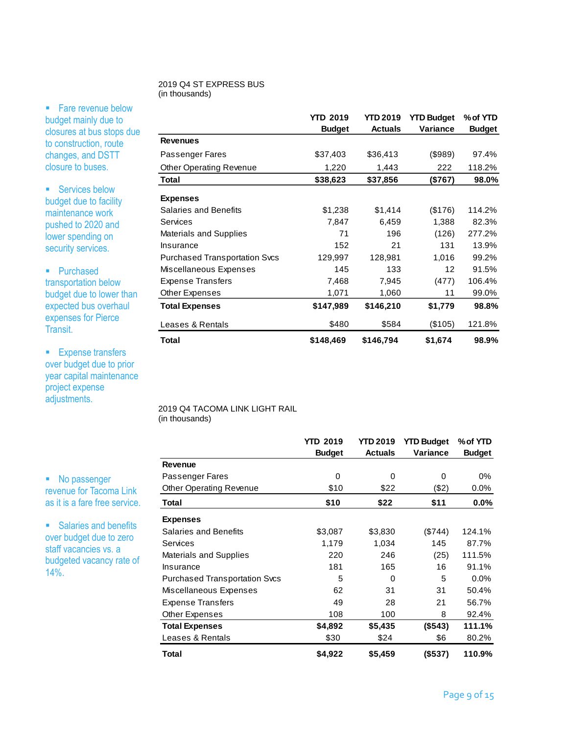#### 2019 Q4 ST EXPRESS BUS (in thousands)

• Fare revenue below budget mainly due to closures at bus stops due to construction, route changes, and DSTT closure to buses.

■ Services below budget due to facility maintenance work pushed to 2020 and lower spending on security services.

• Purchased transportation below budget due to lower than expected bus overhaul expenses for Pierce Transit.

**Expense transfers** over budget due to prior year capital maintenance project expense adjustments.

• No passenger revenue for Tacoma Link as it is a fare free service.

**Salaries and benefits** over budget due to zero staff vacancies vs. a budgeted vacancy rate of  $14\%$ .

|                                      | <b>YTD 2019</b><br><b>Budget</b> | YTD 2019<br><b>Actuals</b> | <b>YTD Budget</b><br>Variance | % of YTD<br><b>Budget</b> |
|--------------------------------------|----------------------------------|----------------------------|-------------------------------|---------------------------|
| <b>Revenues</b>                      |                                  |                            |                               |                           |
| Passenger Fares                      | \$37,403                         | \$36,413                   | (\$989)                       | 97.4%                     |
| <b>Other Operating Revenue</b>       | 1,220                            | 1,443                      | 222                           | 118.2%                    |
| Total                                | \$38,623                         | \$37,856                   | (\$767)                       | 98.0%                     |
| <b>Expenses</b>                      |                                  |                            |                               |                           |
| <b>Salaries and Benefits</b>         | \$1,238                          | \$1,414                    | (\$176)                       | 114.2%                    |
| Services                             | 7,847                            | 6,459                      | 1,388                         | 82.3%                     |
| Materials and Supplies               | 71                               | 196                        | (126)                         | 277.2%                    |
| Insurance                            | 152                              | 21                         | 131                           | 13.9%                     |
| <b>Purchased Transportation Svcs</b> | 129,997                          | 128,981                    | 1,016                         | 99.2%                     |
| Miscellaneous Expenses               | 145                              | 133                        | 12                            | 91.5%                     |
| <b>Expense Transfers</b>             | 7,468                            | 7,945                      | (477)                         | 106.4%                    |
| <b>Other Expenses</b>                | 1,071                            | 1,060                      | 11                            | 99.0%                     |
| <b>Total Expenses</b>                | \$147,989                        | \$146,210                  | \$1,779                       | 98.8%                     |
| Leases & Rentals                     | \$480                            | \$584                      | (\$105)                       | 121.8%                    |
| <b>Total</b>                         | \$148,469                        | \$146,794                  | \$1,674                       | 98.9%                     |

2019 Q4 TACOMA LINK LIGHT RAIL (in thousands)

|                                      | <b>YTD 2019</b><br><b>Budget</b> | <b>YTD 2019</b><br><b>Actuals</b> | <b>YTD Budget</b><br>Variance | % of YTD<br><b>Budget</b> |
|--------------------------------------|----------------------------------|-----------------------------------|-------------------------------|---------------------------|
| <b>Revenue</b>                       |                                  |                                   |                               |                           |
| Passenger Fares                      | 0                                | 0                                 | 0                             | 0%                        |
| <b>Other Operating Revenue</b>       | \$10                             | \$22                              | (\$2)                         | $0.0\%$                   |
| Total                                | \$10                             | \$22                              | \$11                          | $0.0\%$                   |
| <b>Expenses</b>                      |                                  |                                   |                               |                           |
| <b>Salaries and Benefits</b>         | \$3,087                          | \$3,830                           | $(\$744)$                     | 124.1%                    |
| Services                             | 1,179                            | 1,034                             | 145                           | 87.7%                     |
| <b>Materials and Supplies</b>        | 220                              | 246                               | (25)                          | 111.5%                    |
| Insurance                            | 181                              | 165                               | 16                            | 91.1%                     |
| <b>Purchased Transportation Svcs</b> | 5                                | 0                                 | 5                             | $0.0\%$                   |
| Miscellaneous Expenses               | 62                               | 31                                | 31                            | 50.4%                     |
| <b>Expense Transfers</b>             | 49                               | 28                                | 21                            | 56.7%                     |
| Other Expenses                       | 108                              | 100                               | 8                             | 92.4%                     |
| <b>Total Expenses</b>                | \$4,892                          | \$5,435                           | (S543)                        | 111.1%                    |
| Leases & Rentals                     | \$30                             | \$24                              | \$6                           | 80.2%                     |
| <b>Total</b>                         | \$4,922                          | \$5,459                           | (\$537)                       | 110.9%                    |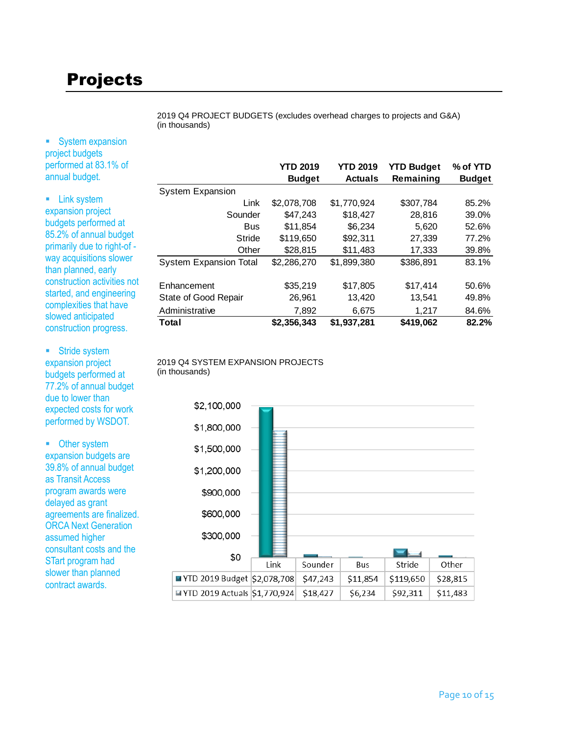# Projects

2019 Q4 PROJECT BUDGETS (excludes overhead charges to projects and G&A) (in thousands)

**System expansion** project budgets performed at 83.1% of annual budget.

**Exercise Link system** expansion project budgets performed at 85.2% of annual budget primarily due to right-of way acquisitions slower than planned, early construction activities not started, and engineering complexities that have slowed anticipated construction progress.

**Stride system** expansion project budgets performed at 77.2% of annual budget due to lower than expected costs for work performed by WSDOT.

• Other system expansion budgets are 39.8% of annual budget as Transit Access program awards were delayed as grant agreements are finalized. ORCA Next Generation assumed higher consultant costs and the STart program had slower than planned contract awards.

|                               | <b>YTD 2019</b> | <b>YTD 2019</b> | <b>YTD Budget</b> | % of YTD      |
|-------------------------------|-----------------|-----------------|-------------------|---------------|
|                               | <b>Budget</b>   | <b>Actuals</b>  | Remaining         | <b>Budget</b> |
| <b>System Expansion</b>       |                 |                 |                   |               |
| Link                          | \$2,078,708     | \$1,770,924     | \$307.784         | 85.2%         |
| Sounder                       | \$47,243        | \$18,427        | 28,816            | 39.0%         |
| <b>Bus</b>                    | \$11.854        | \$6.234         | 5.620             | 52.6%         |
| Stride                        | \$119,650       | \$92,311        | 27,339            | 77.2%         |
| Other                         | \$28.815        | \$11,483        | 17,333            | 39.8%         |
| <b>System Expansion Total</b> | \$2,286,270     | \$1,899,380     | \$386,891         | 83.1%         |
| Enhancement                   | \$35,219        | \$17,805        | \$17,414          | 50.6%         |
| State of Good Repair          | 26,961          | 13,420          | 13,541            | 49.8%         |
| Administrative                | 7,892           | 6,675           | 1,217             | 84.6%         |
| Total                         | \$2,356,343     | \$1,937,281     | \$419,062         | 82.2%         |

#### 2019 Q4 SYSTEM EXPANSION PROJECTS (in thousands)

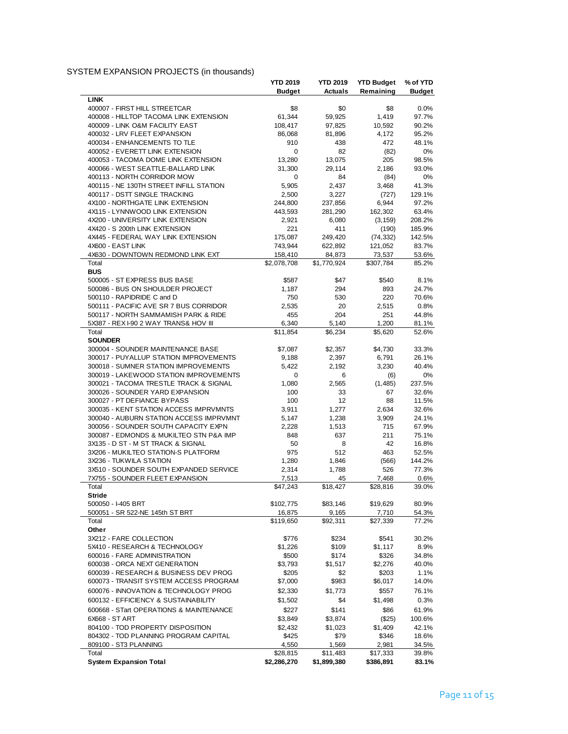## SYSTEM EXPANSION PROJECTS (in thousands)

|                                                                               | <b>YTD 2019</b>       | <b>YTD 2019</b>  | <b>YTD Budget</b> | % of YTD       |
|-------------------------------------------------------------------------------|-----------------------|------------------|-------------------|----------------|
|                                                                               | <b>Budget</b>         | <b>Actuals</b>   | Remaining         | <b>Budget</b>  |
| <b>LINK</b>                                                                   |                       |                  |                   |                |
| 400007 - FIRST HILL STREETCAR                                                 | \$8                   | \$0              | \$8               | 0.0%           |
| 400008 - HILLTOP TACOMA LINK EXTENSION                                        | 61,344                | 59,925           | 1,419             | 97.7%          |
| 400009 - LINK O&M FACILITY EAST                                               | 108,417               | 97,825           | 10,592            | 90.2%          |
| 400032 - LRV FLEET EXPANSION                                                  | 86,068                | 81,896           | 4,172             | 95.2%          |
| 400034 - ENHANCEMENTS TO TLE                                                  | 910                   | 438              | 472               | 48.1%          |
| 400052 - EVERETT LINK EXTENSION<br>400053 - TACOMA DOME LINK EXTENSION        | 0                     | 82               | (82)              | 0%<br>98.5%    |
| 400066 - WEST SEATTLE-BALLARD LINK                                            | 13,280<br>31,300      | 13,075<br>29,114 | 205               | 93.0%          |
| 400113 - NORTH CORRIDOR MOW                                                   | 0                     | 84               | 2,186<br>(84)     | 0%             |
| 400115 - NE 130TH STREET INFILL STATION                                       | 5,905                 | 2,437            | 3,468             | 41.3%          |
| 400117 - DSTT SINGLE TRACKING                                                 | 2,500                 | 3,227            | (727)             | 129.1%         |
| 4X100 - NORTHGATE LINK EXTENSION                                              | 244,800               | 237,856          | 6,944             | 97.2%          |
| 4X115 - LYNNWOOD LINK EXTENSION                                               | 443,593               | 281,290          | 162,302           | 63.4%          |
| 4X200 - UNIVERSITY LINK EXTENSION                                             | 2,921                 | 6,080            | (3, 159)          | 208.2%         |
| 4X420 - S 200th LINK EXTENSION                                                | 221                   | 411              | (190)             | 185.9%         |
| 4X445 - FEDERAL WAY LINK EXTENSION                                            | 175,087               | 249,420          | (74, 332)         | 142.5%         |
| 4X600 - EAST LINK                                                             | 743,944               | 622,892          | 121,052           | 83.7%          |
| 4X630 - DOWNTOWN REDMOND LINK EXT                                             | 158,410               | 84,873           | 73,537            | 53.6%          |
| Total                                                                         | \$2,078,708           | \$1,770,924      | \$307,784         | 85.2%          |
| <b>BUS</b>                                                                    |                       |                  |                   |                |
| 500005 - ST EXPRESS BUS BASE                                                  | \$587                 | \$47             | \$540             | 8.1%           |
| 500086 - BUS ON SHOULDER PROJECT                                              | 1,187                 | 294              | 893               | 24.7%          |
| 500110 - RAPIDRIDE C and D                                                    | 750                   | 530              | 220               | 70.6%          |
| 500111 - PACIFIC AVE SR 7 BUS CORRIDOR                                        | 2,535                 | 20               | 2,515             | 0.8%           |
| 500117 - NORTH SAMMAMISH PARK & RIDE                                          | 455                   | 204              | 251               | 44.8%          |
| 5X387 - REX I-90 2 WAY TRANS& HOV III                                         | 6,340                 | 5,140            | 1,200             | 81.1%          |
| Total                                                                         | \$11,854              | \$6,234          | \$5,620           | 52.6%          |
| <b>SOUNDER</b>                                                                |                       |                  |                   |                |
| 300004 - SOUNDER MAINTENANCE BASE                                             | \$7,087               | \$2,357          | \$4,730           | 33.3%          |
| 300017 - PUYALLUP STATION IMPROVEMENTS                                        | 9,188                 | 2,397            | 6,791             | 26.1%          |
| 300018 - SUMNER STATION IMPROVEMENTS                                          | 5,422                 | 2,192            | 3,230             | 40.4%          |
| 300019 - LAKEWOOD STATION IMPROVEMENTS                                        | 0                     | 6                | (6)               | 0%             |
| 300021 - TACOMA TRESTLE TRACK & SIGNAL                                        | 1,080                 | 2,565            | (1, 485)          | 237.5%         |
| 300026 - SOUNDER YARD EXPANSION                                               | 100                   | 33               | 67                | 32.6%          |
| 300027 - PT DEFIANCE BYPASS                                                   | 100                   | 12               | 88                | 11.5%          |
| 300035 - KENT STATION ACCESS IMPRVMNTS                                        | 3,911                 | 1,277            | 2,634             | 32.6%          |
| 300040 - AUBURN STATION ACCESS IMPRVMNT                                       | 5,147                 | 1,238            | 3,909             | 24.1%          |
| 300056 - SOUNDER SOUTH CAPACITY EXPN                                          | 2,228                 | 1,513            | 715               | 67.9%          |
| 300087 - EDMONDS & MUKILTEO STN P&A IMP<br>3X135 - D ST - M ST TRACK & SIGNAL | 848                   | 637              | 211<br>42         | 75.1%<br>16.8% |
| 3X206 - MUKILTEO STATION-S PLATFORM                                           | 50<br>975             | 8<br>512         | 463               | 52.5%          |
| 3X236 - TUKWILA STATION                                                       | 1,280                 | 1,846            | (566)             | 144.2%         |
| 3X510 - SOUNDER SOUTH EXPANDED SERVICE                                        | 2,314                 | 1,788            | 526               | 77.3%          |
| 7X755 - SOUNDER FLEET EXPANSION                                               | 7,513                 | 45               | 7,468             | 0.6%           |
| Total                                                                         | \$47,243              | \$18,427         | \$28,816          | 39.0%          |
| <b>Stride</b>                                                                 |                       |                  |                   |                |
| 500050 - I-405 BRT                                                            | \$102,775             | \$83,146         | \$19,629          | 80.9%          |
| 500051 - SR 522-NE 145th ST BRT                                               | 16,875                | 9,165            | 7,710             | 54.3%          |
| Total                                                                         | $\overline{$119,650}$ | \$92,311         | \$27,339          | 77.2%          |
| Other                                                                         |                       |                  |                   |                |
| 3X212 - FARE COLLECTION                                                       | \$776                 | \$234            | \$541             | 30.2%          |
| 5X410 - RESEARCH & TECHNOLOGY                                                 | \$1,226               | \$109            | \$1,117           | 8.9%           |
| 600016 - FARE ADMINISTRATION                                                  | \$500                 | \$174            | \$326             | 34.8%          |
| 600038 - ORCA NEXT GENERATION                                                 | \$3,793               | \$1,517          | \$2,276           | 40.0%          |
| 600039 - RESEARCH & BUSINESS DEV PROG                                         | \$205                 | \$2              | \$203             | 1.1%           |
| 600073 - TRANSIT SYSTEM ACCESS PROGRAM                                        | \$7,000               | \$983            | \$6,017           | 14.0%          |
| 600076 - INNOVATION & TECHNOLOGY PROG                                         | \$2,330               | \$1,773          | \$557             | 76.1%          |
| 600132 - EFFICIENCY & SUSTAINABILITY                                          | \$1,502               | \$4              | \$1,498           | 0.3%           |
| 600668 - STart OPERATIONS & MAINTENANCE                                       | \$227                 | \$141            | \$86              | 61.9%          |
| 6X668 - ST ART                                                                | \$3,849               | \$3,874          | (\$25)            | 100.6%         |
| 804100 - TOD PROPERTY DISPOSITION                                             | \$2,432               | \$1,023          | \$1,409           | 42.1%          |
| 804302 - TOD PLANNING PROGRAM CAPITAL                                         | \$425                 | \$79             | \$346             | 18.6%          |
| 809100 - ST3 PLANNING                                                         | 4,550                 | 1,569            | 2,981             | 34.5%          |
| Total                                                                         | \$28,815              | \$11,483         | \$17,333          | 39.8%          |
| <b>System Expansion Total</b>                                                 | \$2,286,270           | \$1,899,380      | \$386,891         | 83.1%          |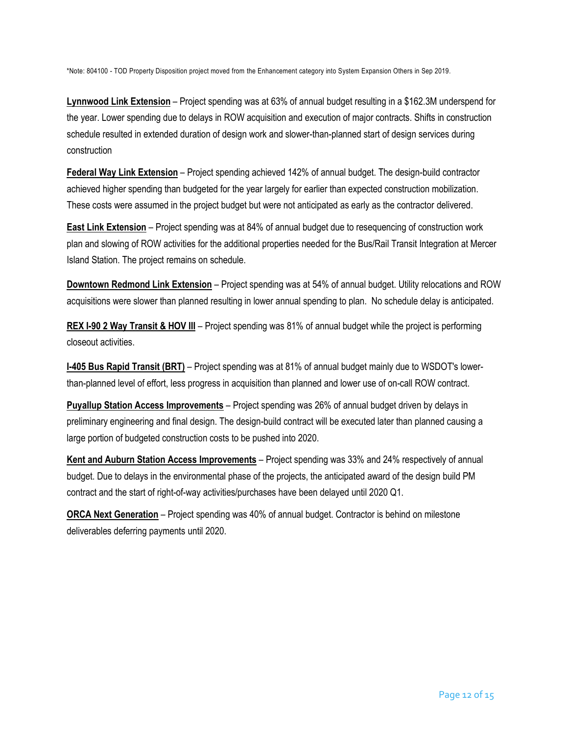\*Note: 804100 - TOD Property Disposition project moved from the Enhancement category into System Expansion Others in Sep 2019.

**Lynnwood Link Extension** – Project spending was at 63% of annual budget resulting in a \$162.3M underspend for the year. Lower spending due to delays in ROW acquisition and execution of major contracts. Shifts in construction schedule resulted in extended duration of design work and slower-than-planned start of design services during construction

**Federal Way Link Extension** – Project spending achieved 142% of annual budget. The design-build contractor achieved higher spending than budgeted for the year largely for earlier than expected construction mobilization. These costs were assumed in the project budget but were not anticipated as early as the contractor delivered.

**East Link Extension** – Project spending was at 84% of annual budget due to resequencing of construction work plan and slowing of ROW activities for the additional properties needed for the Bus/Rail Transit Integration at Mercer Island Station. The project remains on schedule.

**Downtown Redmond Link Extension** – Project spending was at 54% of annual budget. Utility relocations and ROW acquisitions were slower than planned resulting in lower annual spending to plan. No schedule delay is anticipated.

**REX I-90 2 Way Transit & HOV III** – Project spending was 81% of annual budget while the project is performing closeout activities.

**I-405 Bus Rapid Transit (BRT)** – Project spending was at 81% of annual budget mainly due to WSDOT's lowerthan-planned level of effort, less progress in acquisition than planned and lower use of on-call ROW contract.

**Puyallup Station Access Improvements** – Project spending was 26% of annual budget driven by delays in preliminary engineering and final design. The design-build contract will be executed later than planned causing a large portion of budgeted construction costs to be pushed into 2020.

**Kent and Auburn Station Access Improvements** – Project spending was 33% and 24% respectively of annual budget. Due to delays in the environmental phase of the projects, the anticipated award of the design build PM contract and the start of right-of-way activities/purchases have been delayed until 2020 Q1.

**ORCA Next Generation** – Project spending was 40% of annual budget. Contractor is behind on milestone deliverables deferring payments until 2020.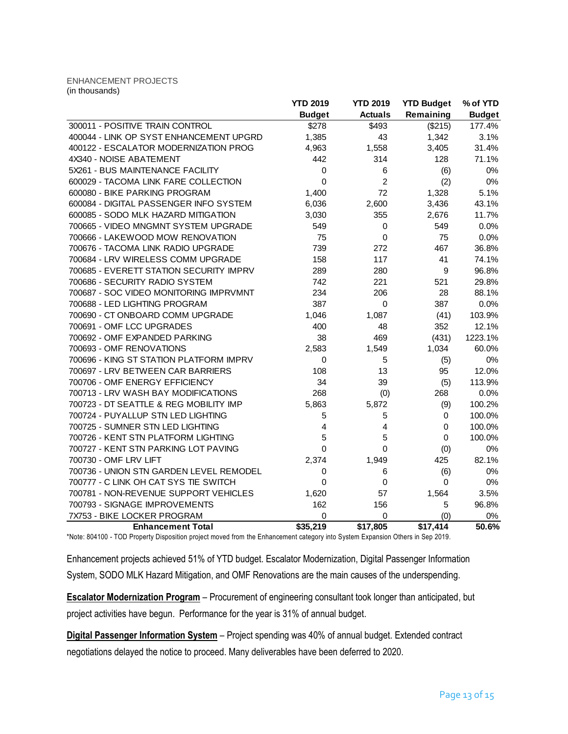#### ENHANCEMENT PROJECTS (in thousands)

|                                         | <b>YTD 2019</b> | <b>YTD 2019</b> | <b>YTD Budget</b> | % of YTD      |
|-----------------------------------------|-----------------|-----------------|-------------------|---------------|
|                                         | <b>Budget</b>   | <b>Actuals</b>  | Remaining         | <b>Budget</b> |
| 300011 - POSITIVE TRAIN CONTROL         | \$278           | \$493           | (\$215)           | 177.4%        |
| 400044 - LINK OP SYST ENHANCEMENT UPGRD | 1,385           | 43              | 1,342             | 3.1%          |
| 400122 - ESCALATOR MODERNIZATION PROG   | 4,963           | 1,558           | 3,405             | 31.4%         |
| 4X340 - NOISE ABATEMENT                 | 442             | 314             | 128               | 71.1%         |
| 5X261 - BUS MAINTENANCE FACILITY        | 0               | 6               | (6)               | 0%            |
| 600029 - TACOMA LINK FARE COLLECTION    | 0               | $\overline{2}$  | (2)               | 0%            |
| 600080 - BIKE PARKING PROGRAM           | 1,400           | 72              | 1,328             | 5.1%          |
| 600084 - DIGITAL PASSENGER INFO SYSTEM  | 6,036           | 2,600           | 3,436             | 43.1%         |
| 600085 - SODO MLK HAZARD MITIGATION     | 3,030           | 355             | 2,676             | 11.7%         |
| 700665 - VIDEO MNGMNT SYSTEM UPGRADE    | 549             | 0               | 549               | 0.0%          |
| 700666 - LAKEWOOD MOW RENOVATION        | 75              | $\mathbf 0$     | 75                | 0.0%          |
| 700676 - TACOMA LINK RADIO UPGRADE      | 739             | 272             | 467               | 36.8%         |
| 700684 - LRV WIRELESS COMM UPGRADE      | 158             | 117             | 41                | 74.1%         |
| 700685 - EVERETT STATION SECURITY IMPRV | 289             | 280             | 9                 | 96.8%         |
| 700686 - SECURITY RADIO SYSTEM          | 742             | 221             | 521               | 29.8%         |
| 700687 - SOC VIDEO MONITORING IMPRVMNT  | 234             | 206             | 28                | 88.1%         |
| 700688 - LED LIGHTING PROGRAM           | 387             | 0               | 387               | 0.0%          |
| 700690 - CT ONBOARD COMM UPGRADE        | 1,046           | 1,087           | (41)              | 103.9%        |
| 700691 - OMF LCC UPGRADES               | 400             | 48              | 352               | 12.1%         |
| 700692 - OMF EXPANDED PARKING           | 38              | 469             | (431)             | 1223.1%       |
| 700693 - OMF RENOVATIONS                | 2,583           | 1,549           | 1,034             | 60.0%         |
| 700696 - KING ST STATION PLATFORM IMPRV | 0               | 5               | (5)               | 0%            |
| 700697 - LRV BETWEEN CAR BARRIERS       | 108             | 13              | 95                | 12.0%         |
| 700706 - OMF ENERGY EFFICIENCY          | 34              | 39              | (5)               | 113.9%        |
| 700713 - LRV WASH BAY MODIFICATIONS     | 268             | (0)             | 268               | 0.0%          |
| 700723 - DT SEATTLE & REG MOBILITY IMP  | 5,863           | 5,872           | (9)               | 100.2%        |
| 700724 - PUYALLUP STN LED LIGHTING      | 5               | 5               | 0                 | 100.0%        |
| 700725 - SUMNER STN LED LIGHTING        | 4               | 4               | $\mathbf 0$       | 100.0%        |
| 700726 - KENT STN PLATFORM LIGHTING     | 5               | 5               | $\Omega$          | 100.0%        |
| 700727 - KENT STN PARKING LOT PAVING    | 0               | 0               | (0)               | 0%            |
| 700730 - OMF LRV LIFT                   | 2,374           | 1,949           | 425               | 82.1%         |
| 700736 - UNION STN GARDEN LEVEL REMODEL | 0               | 6               | (6)               | 0%            |
| 700777 - C LINK OH CAT SYS TIE SWITCH   | 0               | 0               | 0                 | 0%            |
| 700781 - NON-REVENUE SUPPORT VEHICLES   | 1,620           | 57              | 1,564             | 3.5%          |
| 700793 - SIGNAGE IMPROVEMENTS           | 162             | 156             | 5                 | 96.8%         |
| 7X753 - BIKE LOCKER PROGRAM             | 0               | 0               | (0)               | 0%            |
| <b>Enhancement Total</b>                | \$35,219        | \$17,805        | \$17,414          | 50.6%         |

\*Note: 804100 - TOD Property Disposition project moved from the Enhancement category into System Expansion Others in Sep 2019.

Enhancement projects achieved 51% of YTD budget. Escalator Modernization, Digital Passenger Information

System, SODO MLK Hazard Mitigation, and OMF Renovations are the main causes of the underspending.

**Escalator Modernization Program** – Procurement of engineering consultant took longer than anticipated, but project activities have begun. Performance for the year is 31% of annual budget.

**Digital Passenger Information System** – Project spending was 40% of annual budget. Extended contract negotiations delayed the notice to proceed. Many deliverables have been deferred to 2020.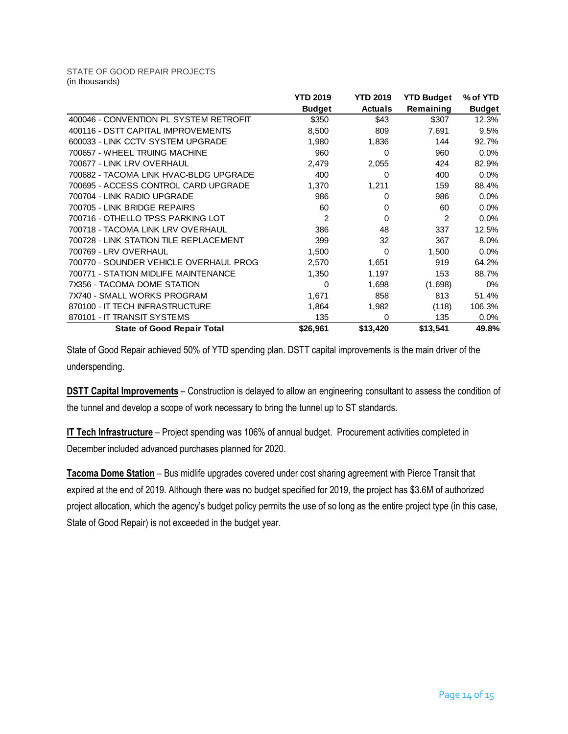#### STATE OF GOOD REPAIR PROJECTS (in thousands)

|                                        | <b>YTD 2019</b> | <b>YTD 2019</b> | <b>YTD Budget</b> | % of YTD      |
|----------------------------------------|-----------------|-----------------|-------------------|---------------|
|                                        | <b>Budget</b>   | <b>Actuals</b>  | Remaining         | <b>Budget</b> |
| 400046 - CONVENTION PL SYSTEM RETROFIT | \$350           | \$43            | \$307             | 12.3%         |
| 400116 - DSTT CAPITAL IMPROVEMENTS     | 8,500           | 809             | 7,691             | 9.5%          |
| 600033 - LINK CCTV SYSTEM UPGRADE      | 1,980           | 1,836           | 144               | 92.7%         |
| 700657 - WHEEL TRUING MACHINE          | 960             | 0               | 960               | $0.0\%$       |
| 700677 - LINK LRV OVERHAUL             | 2,479           | 2,055           | 424               | 82.9%         |
| 700682 - TACOMA LINK HVAC-BLDG UPGRADE | 400             | 0               | 400               | 0.0%          |
| 700695 - ACCESS CONTROL CARD UPGRADE   | 1,370           | 1,211           | 159               | 88.4%         |
| 700704 - LINK RADIO UPGRADE            | 986             | 0               | 986               | 0.0%          |
| 700705 - LINK BRIDGE REPAIRS           | 60              | 0               | 60                | 0.0%          |
| 700716 - OTHELLO TPSS PARKING LOT      | 2               | $\Omega$        | 2                 | 0.0%          |
| 700718 - TACOMA LINK LRV OVERHAUL      | 386             | 48              | 337               | 12.5%         |
| 700728 - LINK STATION TILE REPLACEMENT | 399             | 32              | 367               | 8.0%          |
| 700769 - LRV OVERHAUL                  | 1,500           | $\Omega$        | 1,500             | 0.0%          |
| 700770 - SOUNDER VEHICLE OVERHAUL PROG | 2,570           | 1,651           | 919               | 64.2%         |
| 700771 - STATION MIDLIFE MAINTENANCE   | 1,350           | 1,197           | 153               | 88.7%         |
| 7X356 - TACOMA DOME STATION            | 0               | 1,698           | (1,698)           | $0\%$         |
| 7X740 - SMALL WORKS PROGRAM            | 1,671           | 858             | 813               | 51.4%         |
| 870100 - IT TECH INFRASTRUCTURE        | 1,864           | 1,982           | (118)             | 106.3%        |
| 870101 - IT TRANSIT SYSTEMS            | 135             | 0               | 135               | $0.0\%$       |
| <b>State of Good Repair Total</b>      | \$26,961        | \$13,420        | \$13,541          | 49.8%         |

State of Good Repair achieved 50% of YTD spending plan. DSTT capital improvements is the main driver of the underspending.

**DSTT Capital Improvements** – Construction is delayed to allow an engineering consultant to assess the condition of the tunnel and develop a scope of work necessary to bring the tunnel up to ST standards.

**IT Tech Infrastructure** – Project spending was 106% of annual budget. Procurement activities completed in December included advanced purchases planned for 2020.

**Tacoma Dome Station** – Bus midlife upgrades covered under cost sharing agreement with Pierce Transit that expired at the end of 2019. Although there was no budget specified for 2019, the project has \$3.6M of authorized project allocation, which the agency's budget policy permits the use of so long as the entire project type (in this case, State of Good Repair) is not exceeded in the budget year.